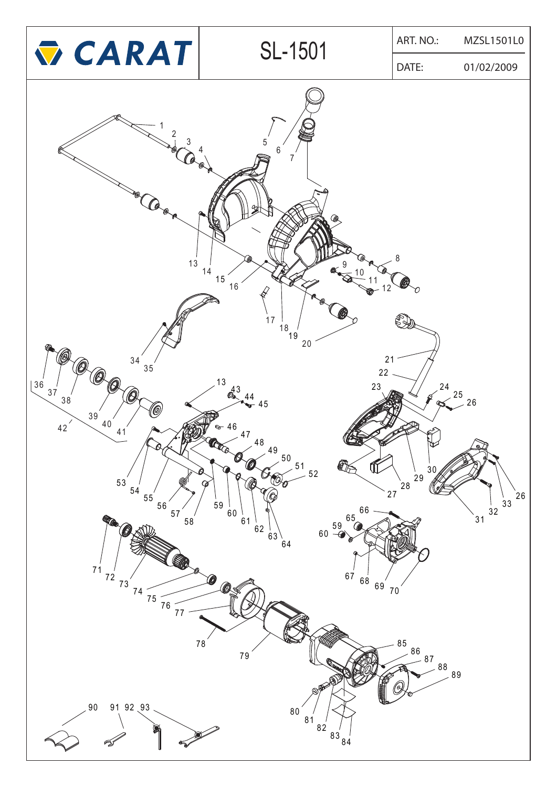